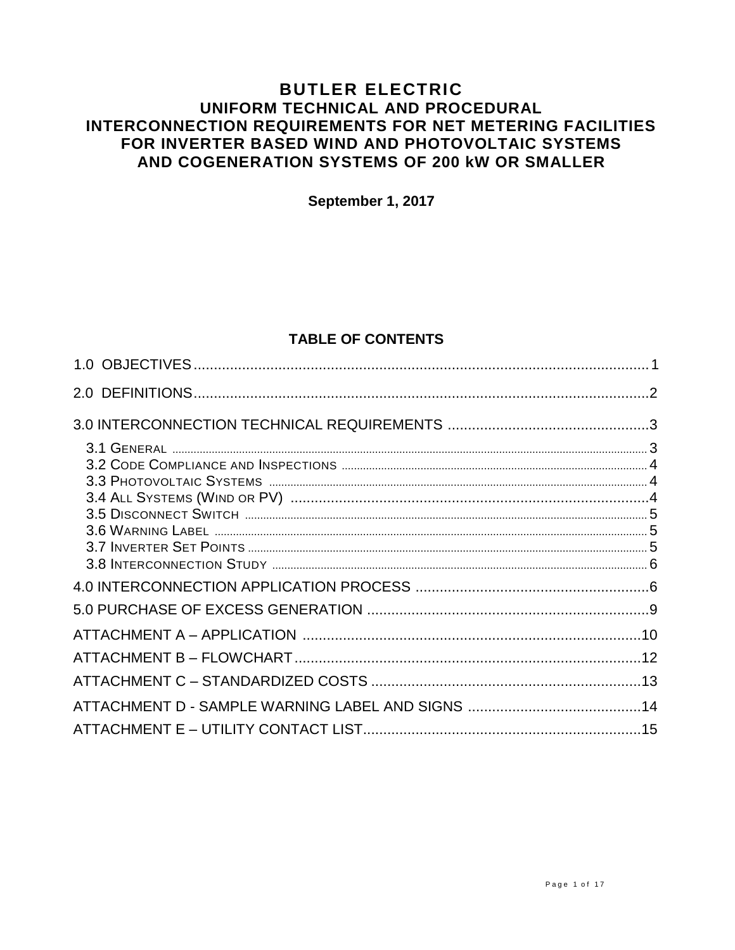# **BUTLER ELECTRIC** UNIFORM TECHNICAL AND PROCEDURAL **INTERCONNECTION REQUIREMENTS FOR NET METERING FACILITIES** FOR INVERTER BASED WIND AND PHOTOVOLTAIC SYSTEMS AND COGENERATION SYSTEMS OF 200 KW OR SMALLER

September 1, 2017

# **TABLE OF CONTENTS**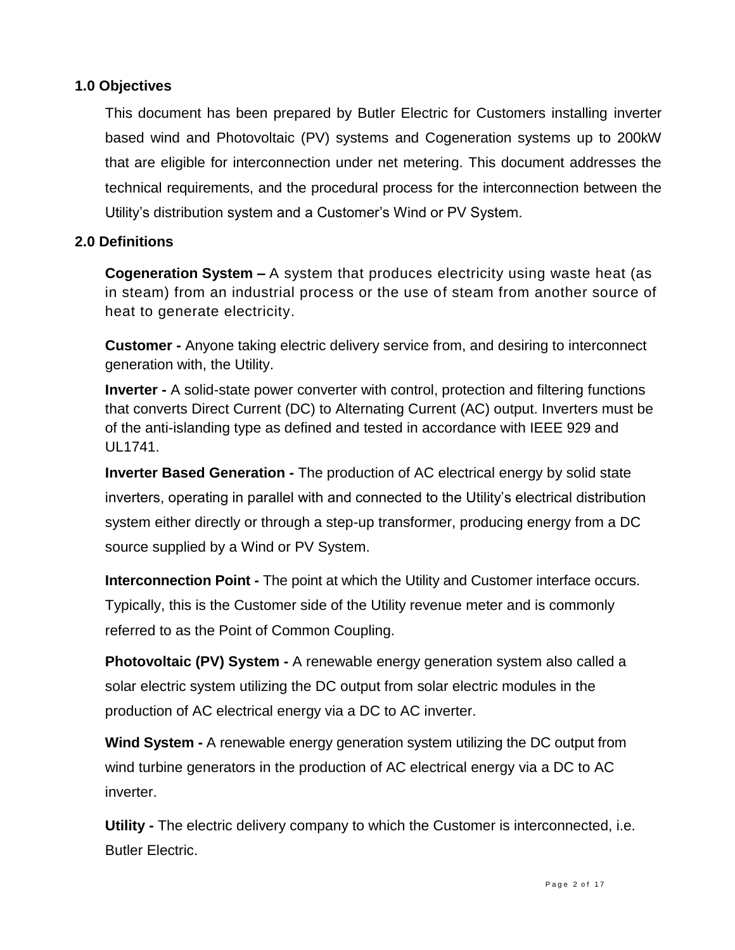## **1.0 Objectives**

This document has been prepared by Butler Electric for Customers installing inverter based wind and Photovoltaic (PV) systems and Cogeneration systems up to 200kW that are eligible for interconnection under net metering. This document addresses the technical requirements, and the procedural process for the interconnection between the Utility's distribution system and a Customer's Wind or PV System.

# **2.0 Definitions**

**Cogeneration System –** A system that produces electricity using waste heat (as in steam) from an industrial process or the use of steam from another source of heat to generate electricity.

**Customer -** Anyone taking electric delivery service from, and desiring to interconnect generation with, the Utility.

**Inverter -** A solid-state power converter with control, protection and filtering functions that converts Direct Current (DC) to Alternating Current (AC) output. Inverters must be of the anti-islanding type as defined and tested in accordance with IEEE 929 and UL1741.

**Inverter Based Generation -** The production of AC electrical energy by solid state inverters, operating in parallel with and connected to the Utility's electrical distribution system either directly or through a step-up transformer, producing energy from a DC source supplied by a Wind or PV System.

**Interconnection Point -** The point at which the Utility and Customer interface occurs. Typically, this is the Customer side of the Utility revenue meter and is commonly referred to as the Point of Common Coupling.

**Photovoltaic (PV) System -** A renewable energy generation system also called a solar electric system utilizing the DC output from solar electric modules in the production of AC electrical energy via a DC to AC inverter.

**Wind System -** A renewable energy generation system utilizing the DC output from wind turbine generators in the production of AC electrical energy via a DC to AC inverter.

**Utility -** The electric delivery company to which the Customer is interconnected, i.e. Butler Electric.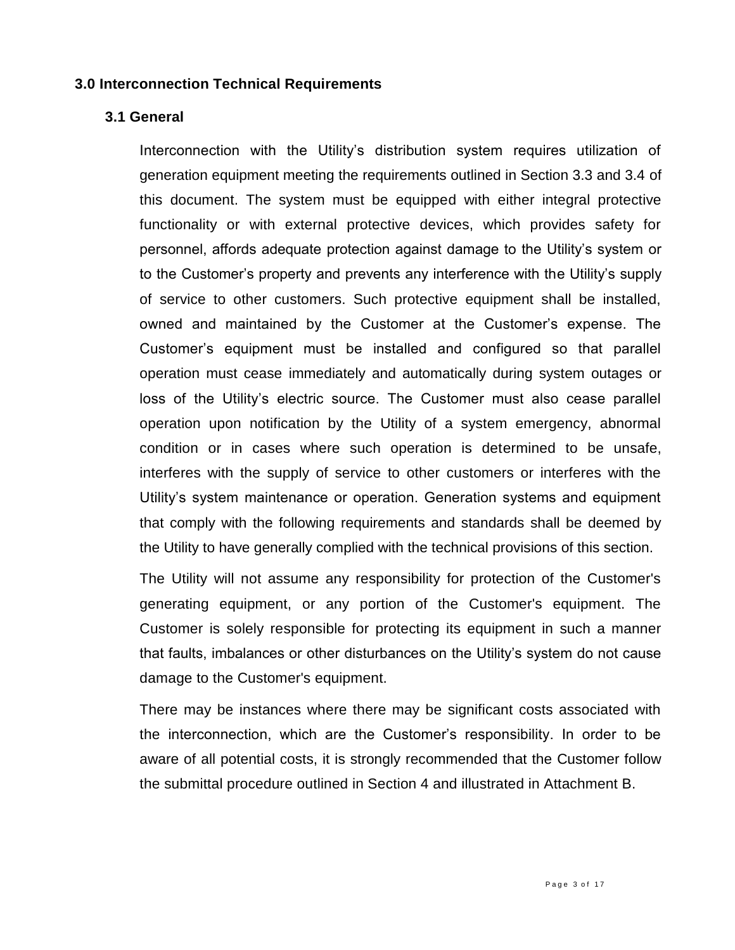### **3.0 Interconnection Technical Requirements**

### **3.1 General**

Interconnection with the Utility's distribution system requires utilization of generation equipment meeting the requirements outlined in Section 3.3 and 3.4 of this document. The system must be equipped with either integral protective functionality or with external protective devices, which provides safety for personnel, affords adequate protection against damage to the Utility's system or to the Customer's property and prevents any interference with the Utility's supply of service to other customers. Such protective equipment shall be installed, owned and maintained by the Customer at the Customer's expense. The Customer's equipment must be installed and configured so that parallel operation must cease immediately and automatically during system outages or loss of the Utility's electric source. The Customer must also cease parallel operation upon notification by the Utility of a system emergency, abnormal condition or in cases where such operation is determined to be unsafe, interferes with the supply of service to other customers or interferes with the Utility's system maintenance or operation. Generation systems and equipment that comply with the following requirements and standards shall be deemed by the Utility to have generally complied with the technical provisions of this section.

The Utility will not assume any responsibility for protection of the Customer's generating equipment, or any portion of the Customer's equipment. The Customer is solely responsible for protecting its equipment in such a manner that faults, imbalances or other disturbances on the Utility's system do not cause damage to the Customer's equipment.

There may be instances where there may be significant costs associated with the interconnection, which are the Customer's responsibility. In order to be aware of all potential costs, it is strongly recommended that the Customer follow the submittal procedure outlined in Section 4 and illustrated in Attachment B.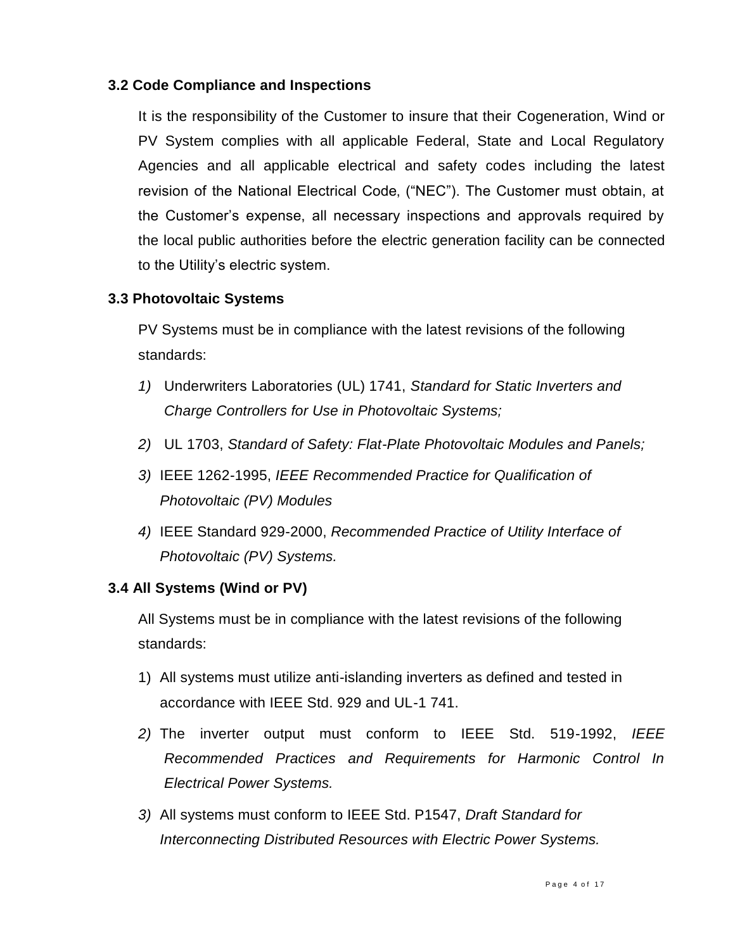## **3.2 Code Compliance and Inspections**

It is the responsibility of the Customer to insure that their Cogeneration, Wind or PV System complies with all applicable Federal, State and Local Regulatory Agencies and all applicable electrical and safety codes including the latest revision of the National Electrical Code, ("NEC"). The Customer must obtain, at the Customer's expense, all necessary inspections and approvals required by the local public authorities before the electric generation facility can be connected to the Utility's electric system.

### **3.3 Photovoltaic Systems**

PV Systems must be in compliance with the latest revisions of the following standards:

- *1)* Underwriters Laboratories (UL) 1741, *Standard for Static Inverters and Charge Controllers for Use in Photovoltaic Systems;*
- *2)* UL 1703, *Standard of Safety: Flat-Plate Photovoltaic Modules and Panels;*
- *3)* IEEE 1262-1995, *IEEE Recommended Practice for Qualification of Photovoltaic (PV) Modules*
- *4)* IEEE Standard 929-2000, *Recommended Practice of Utility Interface of Photovoltaic (PV) Systems.*

### **3.4 All Systems (Wind or PV)**

All Systems must be in compliance with the latest revisions of the following standards:

- 1) All systems must utilize anti-islanding inverters as defined and tested in accordance with IEEE Std. 929 and UL-1 741.
- *2)* The inverter output must conform to IEEE Std. 519-1992, *IEEE Recommended Practices and Requirements for Harmonic Control In Electrical Power Systems.*
- *3)* All systems must conform to IEEE Std. P1547, *Draft Standard for Interconnecting Distributed Resources with Electric Power Systems.*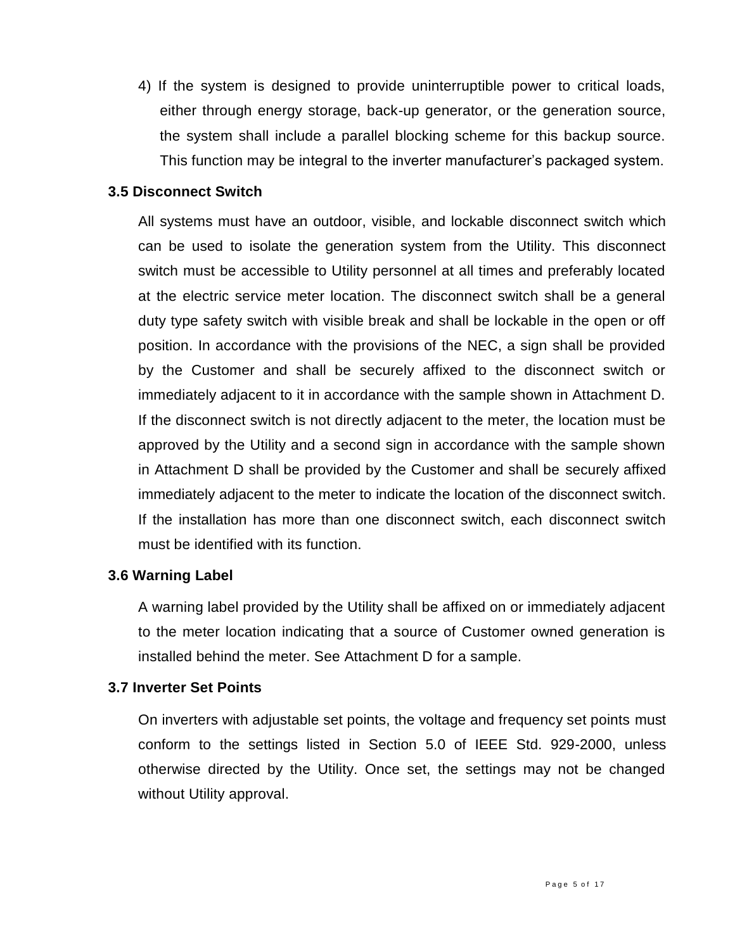4) If the system is designed to provide uninterruptible power to critical loads, either through energy storage, back-up generator, or the generation source, the system shall include a parallel blocking scheme for this backup source. This function may be integral to the inverter manufacturer's packaged system.

### **3.5 Disconnect Switch**

All systems must have an outdoor, visible, and lockable disconnect switch which can be used to isolate the generation system from the Utility. This disconnect switch must be accessible to Utility personnel at all times and preferably located at the electric service meter location. The disconnect switch shall be a general duty type safety switch with visible break and shall be lockable in the open or off position. In accordance with the provisions of the NEC, a sign shall be provided by the Customer and shall be securely affixed to the disconnect switch or immediately adjacent to it in accordance with the sample shown in Attachment D. If the disconnect switch is not directly adjacent to the meter, the location must be approved by the Utility and a second sign in accordance with the sample shown in Attachment D shall be provided by the Customer and shall be securely affixed immediately adjacent to the meter to indicate the location of the disconnect switch. If the installation has more than one disconnect switch, each disconnect switch must be identified with its function.

### **3.6 Warning Label**

A warning label provided by the Utility shall be affixed on or immediately adjacent to the meter location indicating that a source of Customer owned generation is installed behind the meter. See Attachment D for a sample.

### **3.7 Inverter Set Points**

On inverters with adjustable set points, the voltage and frequency set points must conform to the settings listed in Section 5.0 of IEEE Std. 929-2000, unless otherwise directed by the Utility. Once set, the settings may not be changed without Utility approval.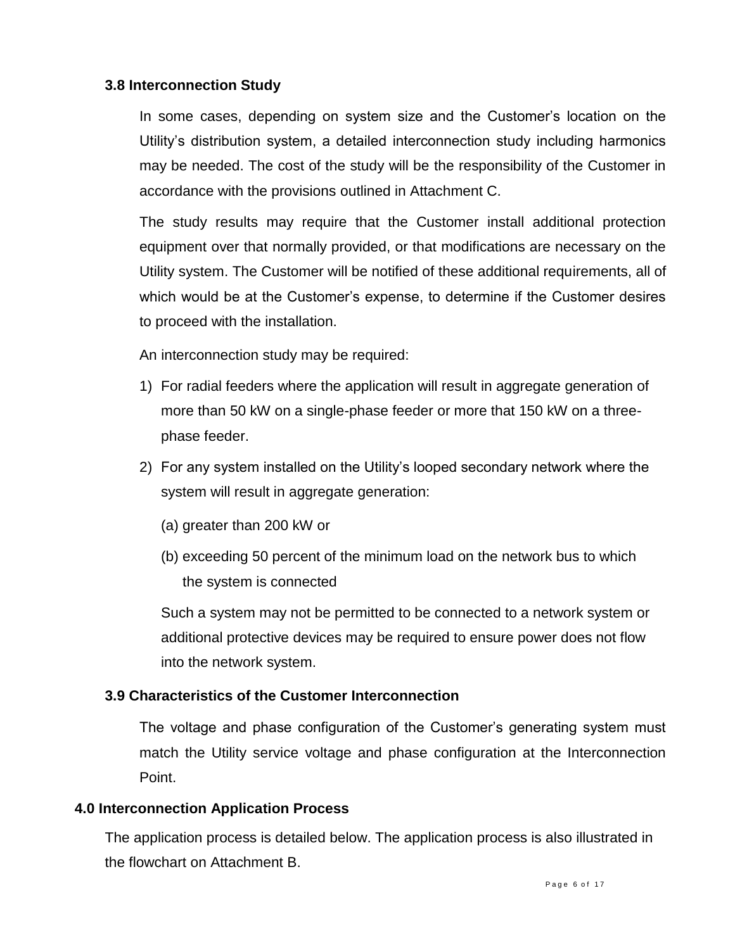### **3.8 Interconnection Study**

In some cases, depending on system size and the Customer's location on the Utility's distribution system, a detailed interconnection study including harmonics may be needed. The cost of the study will be the responsibility of the Customer in accordance with the provisions outlined in Attachment C.

The study results may require that the Customer install additional protection equipment over that normally provided, or that modifications are necessary on the Utility system. The Customer will be notified of these additional requirements, all of which would be at the Customer's expense, to determine if the Customer desires to proceed with the installation.

An interconnection study may be required:

- 1) For radial feeders where the application will result in aggregate generation of more than 50 kW on a single-phase feeder or more that 150 kW on a threephase feeder.
- 2) For any system installed on the Utility's looped secondary network where the system will result in aggregate generation:
	- (a) greater than 200 kW or
	- (b) exceeding 50 percent of the minimum load on the network bus to which the system is connected

Such a system may not be permitted to be connected to a network system or additional protective devices may be required to ensure power does not flow into the network system.

### **3.9 Characteristics of the Customer Interconnection**

The voltage and phase configuration of the Customer's generating system must match the Utility service voltage and phase configuration at the Interconnection Point.

### **4.0 Interconnection Application Process**

The application process is detailed below. The application process is also illustrated in the flowchart on Attachment B.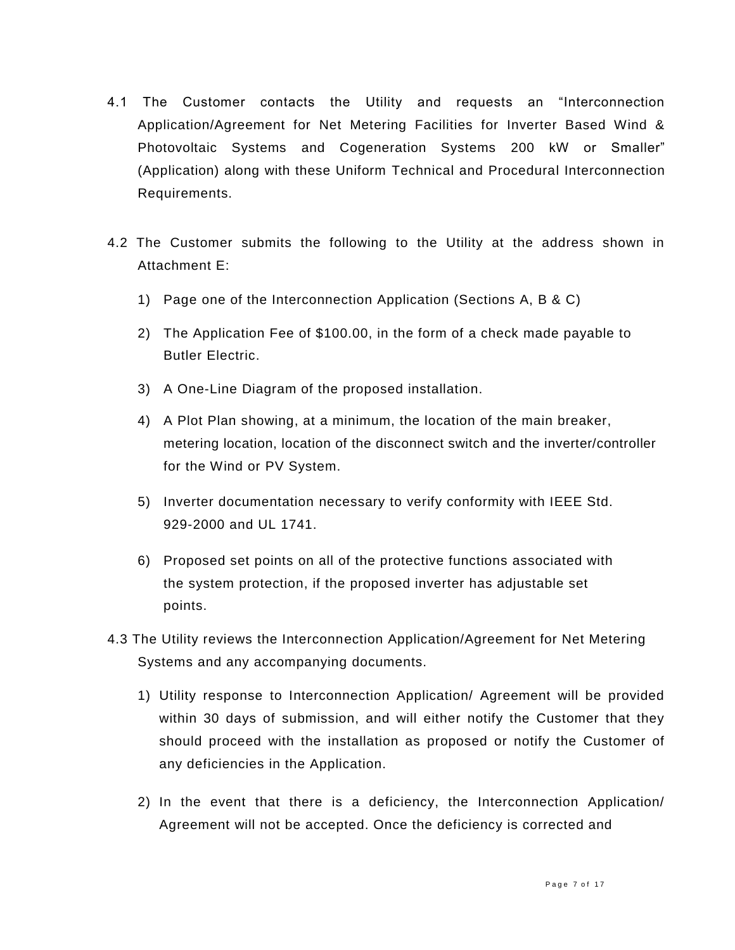- 4.1 The Customer contacts the Utility and requests an "Interconnection Application/Agreement for Net Metering Facilities for Inverter Based Wind & Photovoltaic Systems and Cogeneration Systems 200 kW or Smaller" (Application) along with these Uniform Technical and Procedural Interconnection Requirements.
- 4.2 The Customer submits the following to the Utility at the address shown in Attachment E:
	- 1) Page one of the Interconnection Application (Sections A, B & C)
	- 2) The Application Fee of \$100.00, in the form of a check made payable to Butler Electric.
	- 3) A One-Line Diagram of the proposed installation.
	- 4) A Plot Plan showing, at a minimum, the location of the main breaker, metering location, location of the disconnect switch and the inverter/controller for the Wind or PV System.
	- 5) Inverter documentation necessary to verify conformity with IEEE Std. 929-2000 and UL 1741.
	- 6) Proposed set points on all of the protective functions associated with the system protection, if the proposed inverter has adjustable set points.
- 4.3 The Utility reviews the Interconnection Application/Agreement for Net Metering Systems and any accompanying documents.
	- 1) Utility response to Interconnection Application/ Agreement will be provided within 30 days of submission, and will either notify the Customer that they should proceed with the installation as proposed or notify the Customer of any deficiencies in the Application.
	- 2) In the event that there is a deficiency, the Interconnection Application/ Agreement will not be accepted. Once the deficiency is corrected and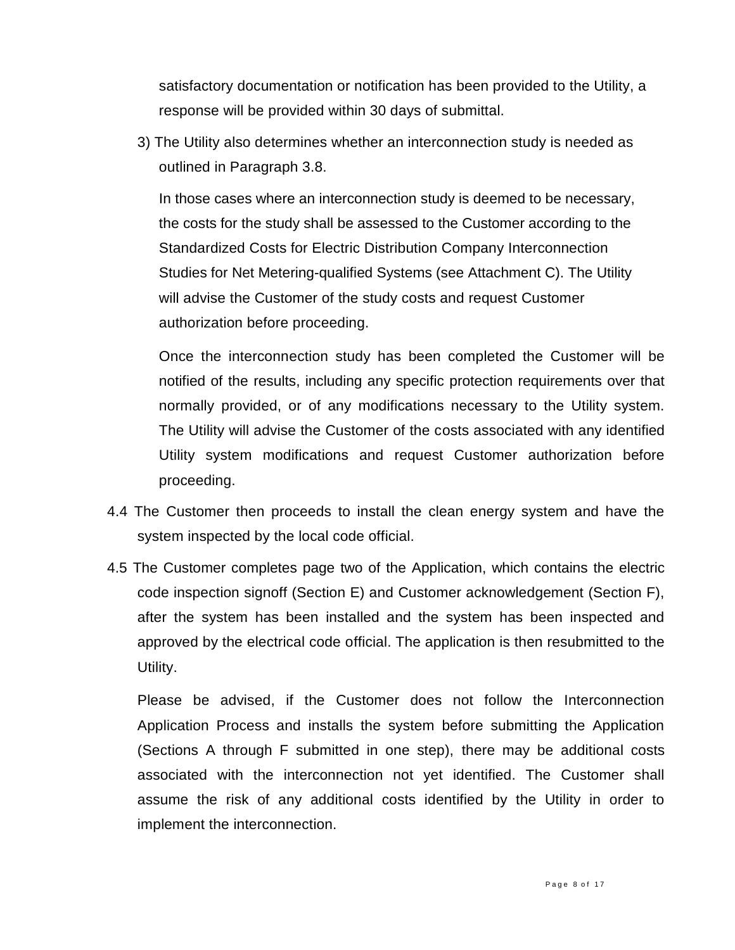satisfactory documentation or notification has been provided to the Utility, a response will be provided within 30 days of submittal.

3) The Utility also determines whether an interconnection study is needed as outlined in Paragraph 3.8.

In those cases where an interconnection study is deemed to be necessary, the costs for the study shall be assessed to the Customer according to the Standardized Costs for Electric Distribution Company Interconnection Studies for Net Metering-qualified Systems (see Attachment C). The Utility will advise the Customer of the study costs and request Customer authorization before proceeding.

Once the interconnection study has been completed the Customer will be notified of the results, including any specific protection requirements over that normally provided, or of any modifications necessary to the Utility system. The Utility will advise the Customer of the costs associated with any identified Utility system modifications and request Customer authorization before proceeding.

- 4.4 The Customer then proceeds to install the clean energy system and have the system inspected by the local code official.
- 4.5 The Customer completes page two of the Application, which contains the electric code inspection signoff (Section E) and Customer acknowledgement (Section F), after the system has been installed and the system has been inspected and approved by the electrical code official. The application is then resubmitted to the Utility.

Please be advised, if the Customer does not follow the Interconnection Application Process and installs the system before submitting the Application (Sections A through F submitted in one step), there may be additional costs associated with the interconnection not yet identified. The Customer shall assume the risk of any additional costs identified by the Utility in order to implement the interconnection.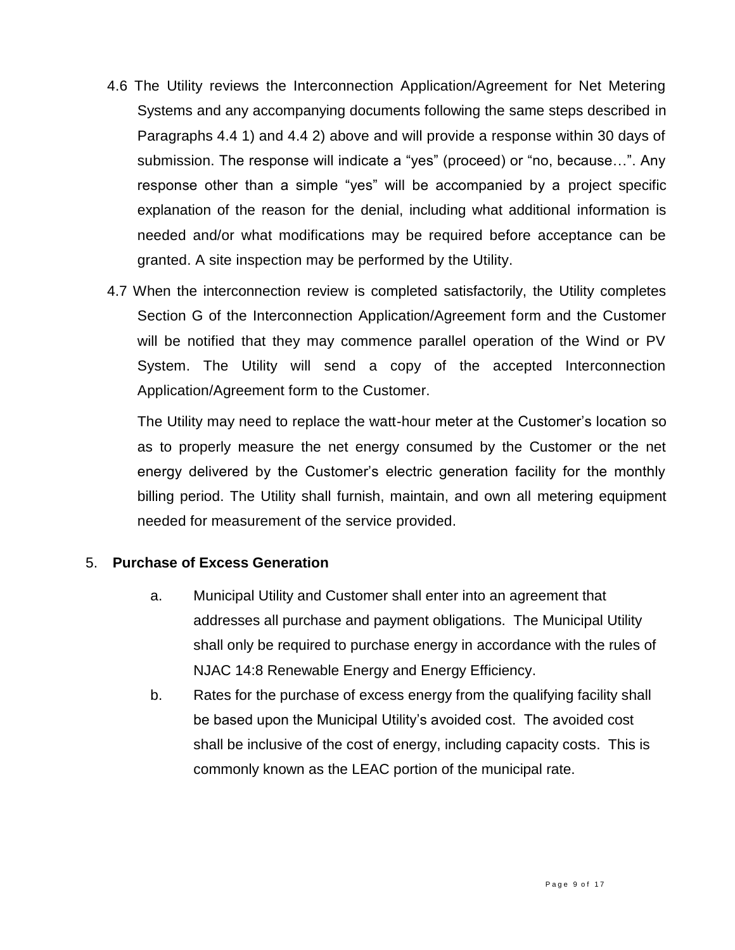- 4.6 The Utility reviews the Interconnection Application/Agreement for Net Metering Systems and any accompanying documents following the same steps described in Paragraphs 4.4 1) and 4.4 2) above and will provide a response within 30 days of submission. The response will indicate a "yes" (proceed) or "no, because…". Any response other than a simple "yes" will be accompanied by a project specific explanation of the reason for the denial, including what additional information is needed and/or what modifications may be required before acceptance can be granted. A site inspection may be performed by the Utility.
- 4.7 When the interconnection review is completed satisfactorily, the Utility completes Section G of the Interconnection Application/Agreement form and the Customer will be notified that they may commence parallel operation of the Wind or PV System. The Utility will send a copy of the accepted Interconnection Application/Agreement form to the Customer.

The Utility may need to replace the watt-hour meter at the Customer's location so as to properly measure the net energy consumed by the Customer or the net energy delivered by the Customer's electric generation facility for the monthly billing period. The Utility shall furnish, maintain, and own all metering equipment needed for measurement of the service provided.

### 5. **Purchase of Excess Generation**

- a. Municipal Utility and Customer shall enter into an agreement that addresses all purchase and payment obligations. The Municipal Utility shall only be required to purchase energy in accordance with the rules of NJAC 14:8 Renewable Energy and Energy Efficiency.
- b. Rates for the purchase of excess energy from the qualifying facility shall be based upon the Municipal Utility's avoided cost. The avoided cost shall be inclusive of the cost of energy, including capacity costs. This is commonly known as the LEAC portion of the municipal rate.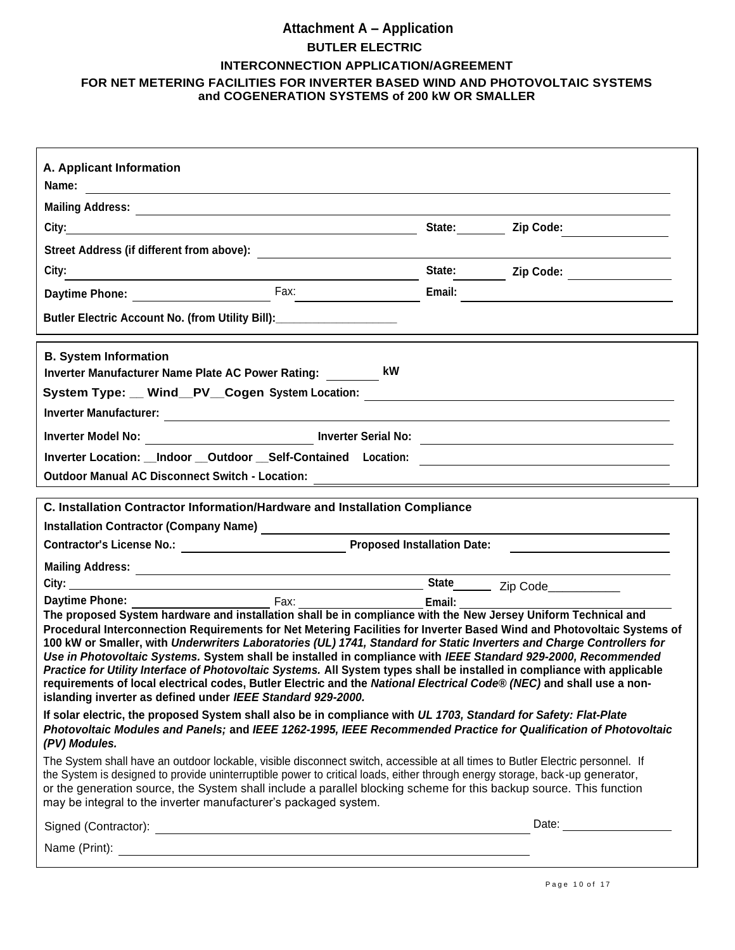# **Attachment A – Application BUTLER ELECTRIC INTERCONNECTION APPLICATION/AGREEMENT FOR NET METERING FACILITIES FOR INVERTER BASED WIND AND PHOTOVOLTAIC SYSTEMS and COGENERATION SYSTEMS of 200 kW OR SMALLER**

| A. Applicant Information                                                                                                                                                                                                                                                                                                                                                                                                                                                                                                                                                                                                                                                                                                                                                                                |               |                                          |  |  |
|---------------------------------------------------------------------------------------------------------------------------------------------------------------------------------------------------------------------------------------------------------------------------------------------------------------------------------------------------------------------------------------------------------------------------------------------------------------------------------------------------------------------------------------------------------------------------------------------------------------------------------------------------------------------------------------------------------------------------------------------------------------------------------------------------------|---------------|------------------------------------------|--|--|
|                                                                                                                                                                                                                                                                                                                                                                                                                                                                                                                                                                                                                                                                                                                                                                                                         |               |                                          |  |  |
|                                                                                                                                                                                                                                                                                                                                                                                                                                                                                                                                                                                                                                                                                                                                                                                                         |               | State: ________ Zip Code: ______________ |  |  |
|                                                                                                                                                                                                                                                                                                                                                                                                                                                                                                                                                                                                                                                                                                                                                                                                         |               |                                          |  |  |
| City:<br><u> 1980 - Johann Barn, fransk politik (d. 1980)</u>                                                                                                                                                                                                                                                                                                                                                                                                                                                                                                                                                                                                                                                                                                                                           |               | State: Zip Code: 2012                    |  |  |
|                                                                                                                                                                                                                                                                                                                                                                                                                                                                                                                                                                                                                                                                                                                                                                                                         | Email:        |                                          |  |  |
| Butler Electric Account No. (from Utility Bill): ____________________                                                                                                                                                                                                                                                                                                                                                                                                                                                                                                                                                                                                                                                                                                                                   |               |                                          |  |  |
|                                                                                                                                                                                                                                                                                                                                                                                                                                                                                                                                                                                                                                                                                                                                                                                                         |               |                                          |  |  |
| <b>B. System Information</b><br>Inverter Manufacturer Name Plate AC Power Rating: kW                                                                                                                                                                                                                                                                                                                                                                                                                                                                                                                                                                                                                                                                                                                    |               |                                          |  |  |
| System Type: __ Wind__PV__Cogen System Location: _______________________________                                                                                                                                                                                                                                                                                                                                                                                                                                                                                                                                                                                                                                                                                                                        |               |                                          |  |  |
|                                                                                                                                                                                                                                                                                                                                                                                                                                                                                                                                                                                                                                                                                                                                                                                                         |               |                                          |  |  |
|                                                                                                                                                                                                                                                                                                                                                                                                                                                                                                                                                                                                                                                                                                                                                                                                         |               |                                          |  |  |
| Inverter Location: __Indoor __Outdoor __Self-Contained Location: ___________________________________                                                                                                                                                                                                                                                                                                                                                                                                                                                                                                                                                                                                                                                                                                    |               |                                          |  |  |
|                                                                                                                                                                                                                                                                                                                                                                                                                                                                                                                                                                                                                                                                                                                                                                                                         |               |                                          |  |  |
| C. Installation Contractor Information/Hardware and Installation Compliance                                                                                                                                                                                                                                                                                                                                                                                                                                                                                                                                                                                                                                                                                                                             |               |                                          |  |  |
|                                                                                                                                                                                                                                                                                                                                                                                                                                                                                                                                                                                                                                                                                                                                                                                                         |               |                                          |  |  |
|                                                                                                                                                                                                                                                                                                                                                                                                                                                                                                                                                                                                                                                                                                                                                                                                         |               |                                          |  |  |
|                                                                                                                                                                                                                                                                                                                                                                                                                                                                                                                                                                                                                                                                                                                                                                                                         |               |                                          |  |  |
|                                                                                                                                                                                                                                                                                                                                                                                                                                                                                                                                                                                                                                                                                                                                                                                                         |               |                                          |  |  |
| <b>Example 18</b> Fax:<br><b>Daytime Phone:</b>                                                                                                                                                                                                                                                                                                                                                                                                                                                                                                                                                                                                                                                                                                                                                         | Email: Email: |                                          |  |  |
| The proposed System hardware and installation shall be in compliance with the New Jersey Uniform Technical and<br>Procedural Interconnection Requirements for Net Metering Facilities for Inverter Based Wind and Photovoltaic Systems of<br>100 kW or Smaller, with Underwriters Laboratories (UL) 1741, Standard for Static Inverters and Charge Controllers for<br>Use in Photovoltaic Systems. System shall be installed in compliance with IEEE Standard 929-2000, Recommended<br>Practice for Utility Interface of Photovoltaic Systems. All System types shall be installed in compliance with applicable<br>requirements of local electrical codes, Butler Electric and the National Electrical Code® (NEC) and shall use a non-<br>islanding inverter as defined under IEEE Standard 929-2000. |               |                                          |  |  |
| If solar electric, the proposed System shall also be in compliance with UL 1703, Standard for Safety: Flat-Plate<br>Photovoltaic Modules and Panels; and IEEE 1262-1995, IEEE Recommended Practice for Qualification of Photovoltaic<br>(PV) Modules.                                                                                                                                                                                                                                                                                                                                                                                                                                                                                                                                                   |               |                                          |  |  |
| The System shall have an outdoor lockable, visible disconnect switch, accessible at all times to Butler Electric personnel. If<br>the System is designed to provide uninterruptible power to critical loads, either through energy storage, back-up generator,<br>or the generation source, the System shall include a parallel blocking scheme for this backup source. This function<br>may be integral to the inverter manufacturer's packaged system.                                                                                                                                                                                                                                                                                                                                                |               |                                          |  |  |
| Signed (Contractor): <u>Contractor</u> Contractor Contractor Contractor Contractor Contractor Contractor Contractor Contractor Contractor Contractor Contractor Contractor Contractor Contractor Contractor Contractor Contractor C                                                                                                                                                                                                                                                                                                                                                                                                                                                                                                                                                                     |               | Date: <u>_________________________</u>   |  |  |
|                                                                                                                                                                                                                                                                                                                                                                                                                                                                                                                                                                                                                                                                                                                                                                                                         |               |                                          |  |  |
|                                                                                                                                                                                                                                                                                                                                                                                                                                                                                                                                                                                                                                                                                                                                                                                                         |               |                                          |  |  |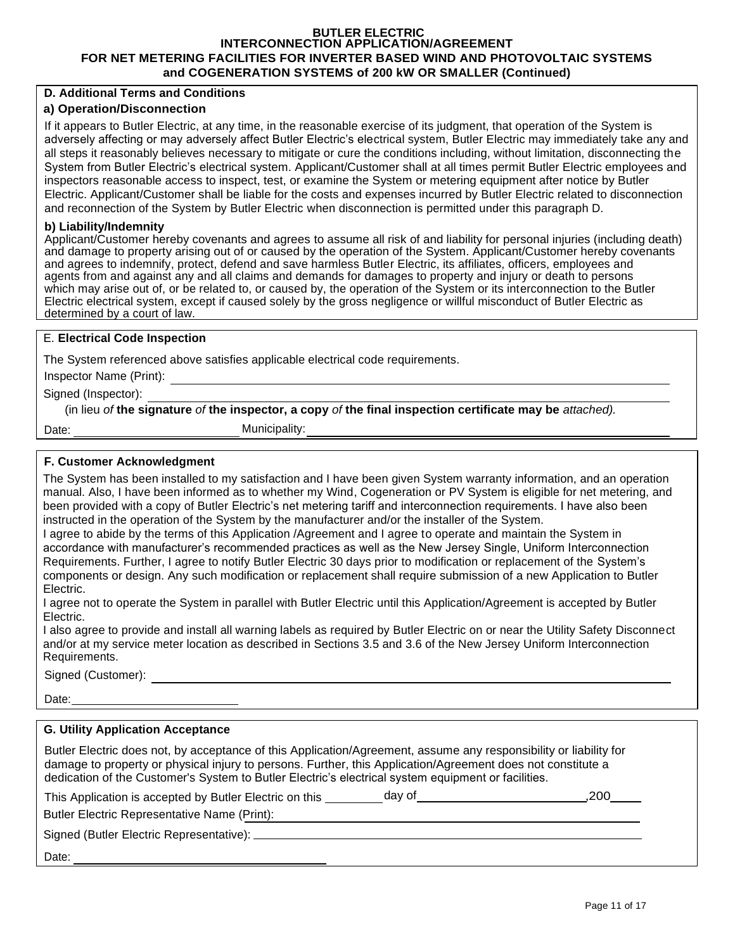#### **BUTLER ELECTRIC INTERCONNECTION APPLICATION/AGREEMENT FOR NET METERING FACILITIES FOR INVERTER BASED WIND AND PHOTOVOLTAIC SYSTEMS and COGENERATION SYSTEMS of 200 kW OR SMALLER (Continued)**

#### **D. Additional Terms and Conditions**

#### **a) Operation/Disconnection**

If it appears to Butler Electric, at any time, in the reasonable exercise of its judgment, that operation of the System is adversely affecting or may adversely affect Butler Electric's electrical system, Butler Electric may immediately take any and all steps it reasonably believes necessary to mitigate or cure the conditions including, without limitation, disconnecting the System from Butler Electric's electrical system. Applicant/Customer shall at all times permit Butler Electric employees and inspectors reasonable access to inspect, test, or examine the System or metering equipment after notice by Butler Electric. Applicant/Customer shall be liable for the costs and expenses incurred by Butler Electric related to disconnection and reconnection of the System by Butler Electric when disconnection is permitted under this paragraph D.

#### **b) Liability/Indemnity**

Applicant/Customer hereby covenants and agrees to assume all risk of and liability for personal injuries (including death) and damage to property arising out of or caused by the operation of the System. Applicant/Customer hereby covenants and agrees to indemnify, protect, defend and save harmless Butler Electric, its affiliates, officers, employees and agents from and against any and all claims and demands for damages to property and injury or death to persons which may arise out of, or be related to, or caused by, the operation of the System or its interconnection to the Butler Electric electrical system, except if caused solely by the gross negligence or willful misconduct of Butler Electric as determined by a court of law.

#### E. **Electrical Code Inspection**

The System referenced above satisfies applicable electrical code requirements.

Inspector Name (Print):

Signed (Inspector):

(in lieu *of* **the signature** *of* **the inspector, a copy** *of* **the final inspection certificate may be** *attached).*

Date:

Municipality:

#### **F. Customer Acknowledgment**

The System has been installed to my satisfaction and I have been given System warranty information, and an operation manual. Also, I have been informed as to whether my Wind, Cogeneration or PV System is eligible for net metering, and been provided with a copy of Butler Electric's net metering tariff and interconnection requirements. I have also been instructed in the operation of the System by the manufacturer and/or the installer of the System.

I agree to abide by the terms of this Application /Agreement and I agree to operate and maintain the System in accordance with manufacturer's recommended practices as well as the New Jersey Single, Uniform Interconnection Requirements. Further, I agree to notify Butler Electric 30 days prior to modification or replacement of the System's components or design. Any such modification or replacement shall require submission of a new Application to Butler Electric.

I agree not to operate the System in parallel with Butler Electric until this Application/Agreement is accepted by Butler Electric.

I also agree to provide and install all warning labels as required by Butler Electric on or near the Utility Safety Disconnect and/or at my service meter location as described in Sections 3.5 and 3.6 of the New Jersey Uniform Interconnection Requirements.

Signed (Customer):

Date:

#### **G. Utility Application Acceptance**

Butler Electric does not, by acceptance of this Application/Agreement, assume any responsibility or liability for damage to property or physical injury to persons. Further, this Application/Agreement does not constitute a dedication of the Customer's System to Butler Electric's electrical system equipment or facilities.

| This Application is accepted by Butler Electric on this | dav of | .200 |
|---------------------------------------------------------|--------|------|
| Butler Electric Representative Name (Print):            |        |      |
| Signed (Butler Electric Representative):                |        |      |

Date: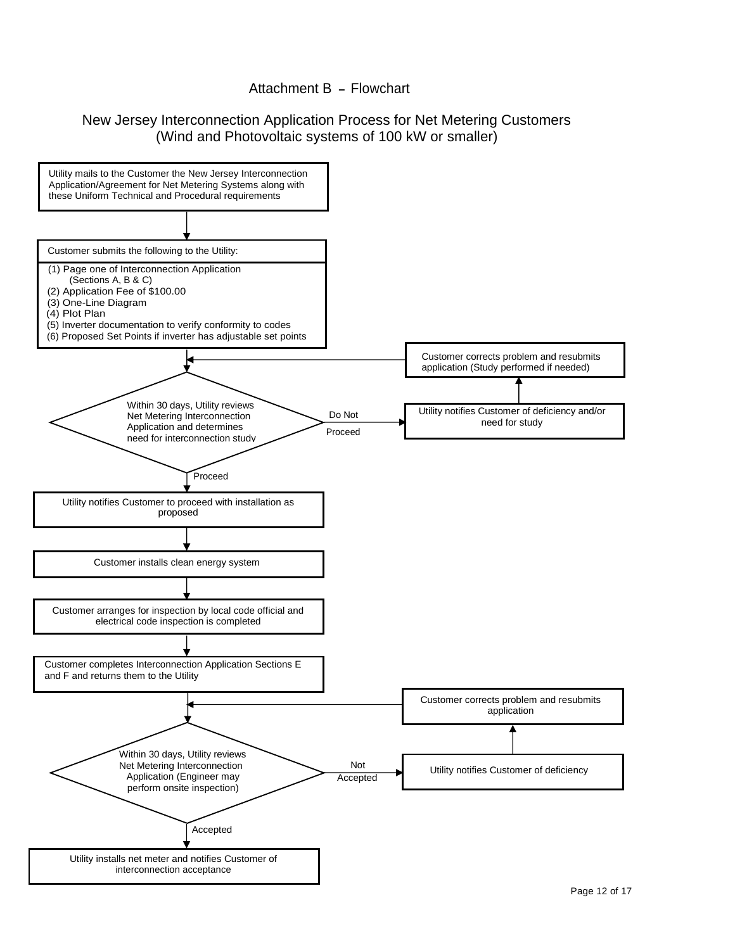### Attachment B - Flowchart

## New Jersey Interconnection Application Process for Net Metering Customers (Wind and Photovoltaic systems of 100 kW or smaller)

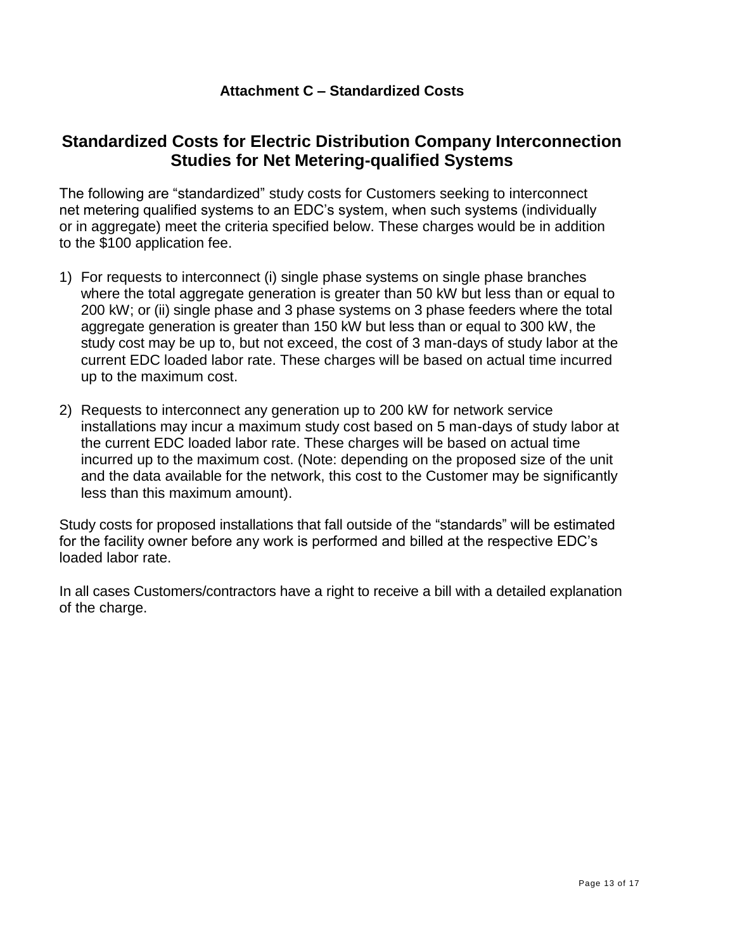### **Attachment C – Standardized Costs**

# **Standardized Costs for Electric Distribution Company Interconnection Studies for Net Metering-qualified Systems**

The following are "standardized" study costs for Customers seeking to interconnect net metering qualified systems to an EDC's system, when such systems (individually or in aggregate) meet the criteria specified below. These charges would be in addition to the \$100 application fee.

- 1) For requests to interconnect (i) single phase systems on single phase branches where the total aggregate generation is greater than 50 kW but less than or equal to 200 kW; or (ii) single phase and 3 phase systems on 3 phase feeders where the total aggregate generation is greater than 150 kW but less than or equal to 300 kW, the study cost may be up to, but not exceed, the cost of 3 man-days of study labor at the current EDC loaded labor rate. These charges will be based on actual time incurred up to the maximum cost.
- 2) Requests to interconnect any generation up to 200 kW for network service installations may incur a maximum study cost based on 5 man-days of study labor at the current EDC loaded labor rate. These charges will be based on actual time incurred up to the maximum cost. (Note: depending on the proposed size of the unit and the data available for the network, this cost to the Customer may be significantly less than this maximum amount).

Study costs for proposed installations that fall outside of the "standards" will be estimated for the facility owner before any work is performed and billed at the respective EDC's loaded labor rate.

In all cases Customers/contractors have a right to receive a bill with a detailed explanation of the charge.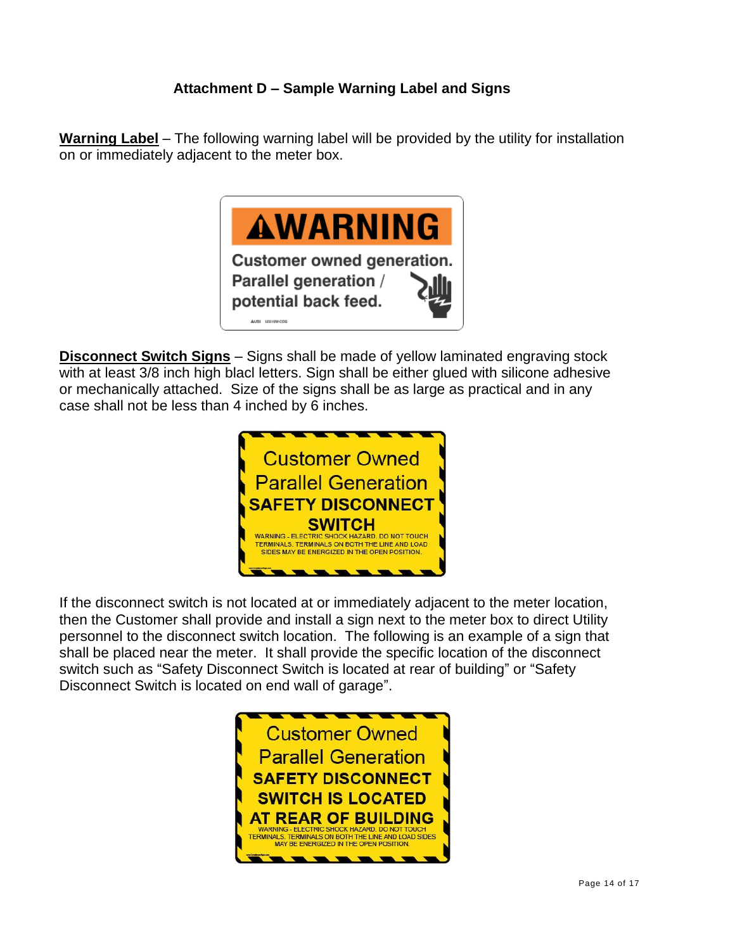# **Attachment D – Sample Warning Label and Signs**

**Warning Label** – The following warning label will be provided by the utility for installation on or immediately adjacent to the meter box.



**Disconnect Switch Signs** – Signs shall be made of yellow laminated engraving stock with at least 3/8 inch high blacl letters. Sign shall be either glued with silicone adhesive or mechanically attached. Size of the signs shall be as large as practical and in any case shall not be less than 4 inched by 6 inches.



If the disconnect switch is not located at or immediately adjacent to the meter location, then the Customer shall provide and install a sign next to the meter box to direct Utility personnel to the disconnect switch location. The following is an example of a sign that shall be placed near the meter. It shall provide the specific location of the disconnect switch such as "Safety Disconnect Switch is located at rear of building" or "Safety Disconnect Switch is located on end wall of garage".